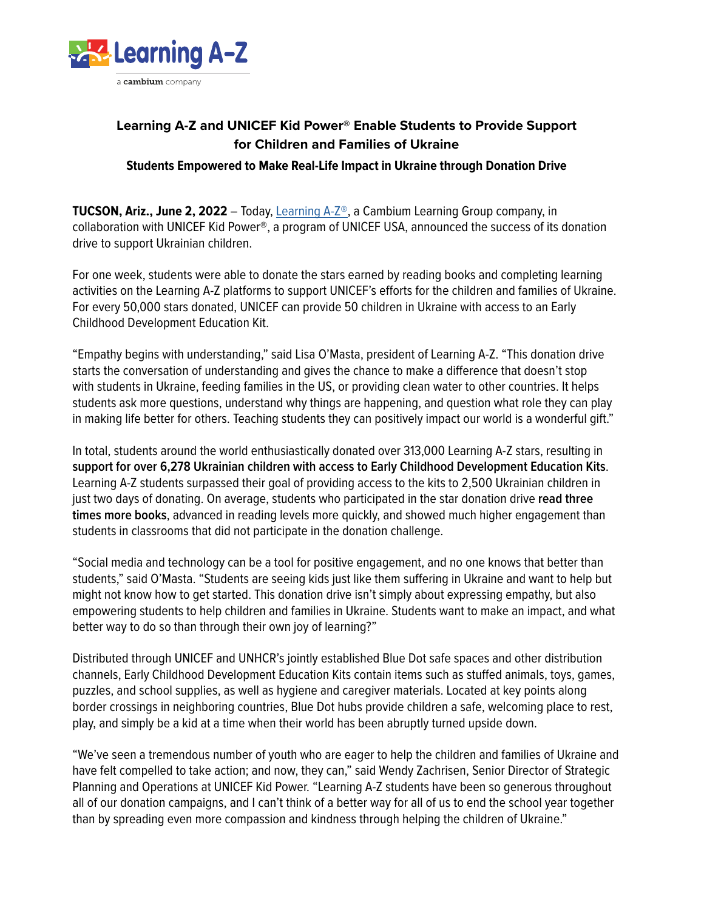

# **Learning A-Z and UNICEF Kid Power® Enable Students to Provide Support for Children and Families of Ukraine Students Empowered to Make Real-Life Impact in Ukraine through Donation Drive**

**TUCSON, Ariz., June 2, 2022** – Today, [Learning A-Z®](https://www.learninga-z.com/), a Cambium Learning Group company, in collaboration with UNICEF Kid Power®, a program of UNICEF USA, announced the success of its donation drive to support Ukrainian children.

For one week, students were able to donate the stars earned by reading books and completing learning activities on the Learning A-Z platforms to support UNICEF's efforts for the children and families of Ukraine. For every 50,000 stars donated, UNICEF can provide 50 children in Ukraine with access to an Early Childhood Development Education Kit.

"Empathy begins with understanding," said Lisa O'Masta, president of Learning A-Z. "This donation drive starts the conversation of understanding and gives the chance to make a difference that doesn't stop with students in Ukraine, feeding families in the US, or providing clean water to other countries. It helps students ask more questions, understand why things are happening, and question what role they can play in making life better for others. Teaching students they can positively impact our world is a wonderful gift."

In total, students around the world enthusiastically donated over 313,000 Learning A-Z stars, resulting in **support for over 6,278 Ukrainian children with access to Early Childhood Development Education Kits**. Learning A-Z students surpassed their goal of providing access to the kits to 2,500 Ukrainian children in just two days of donating. On average, students who participated in the star donation drive **read three times more books**, advanced in reading levels more quickly, and showed much higher engagement than students in classrooms that did not participate in the donation challenge.

"Social media and technology can be a tool for positive engagement, and no one knows that better than students," said O'Masta. "Students are seeing kids just like them suffering in Ukraine and want to help but might not know how to get started. This donation drive isn't simply about expressing empathy, but also empowering students to help children and families in Ukraine. Students want to make an impact, and what better way to do so than through their own joy of learning?"

Distributed through UNICEF and UNHCR's jointly established Blue Dot safe spaces and other distribution channels, Early Childhood Development Education Kits contain items such as stuffed animals, toys, games, puzzles, and school supplies, as well as hygiene and caregiver materials. Located at key points along border crossings in neighboring countries, Blue Dot hubs provide children a safe, welcoming place to rest, play, and simply be a kid at a time when their world has been abruptly turned upside down.

"We've seen a tremendous number of youth who are eager to help the children and families of Ukraine and have felt compelled to take action; and now, they can," said Wendy Zachrisen, Senior Director of Strategic Planning and Operations at UNICEF Kid Power. "Learning A-Z students have been so generous throughout all of our donation campaigns, and I can't think of a better way for all of us to end the school year together than by spreading even more compassion and kindness through helping the children of Ukraine."